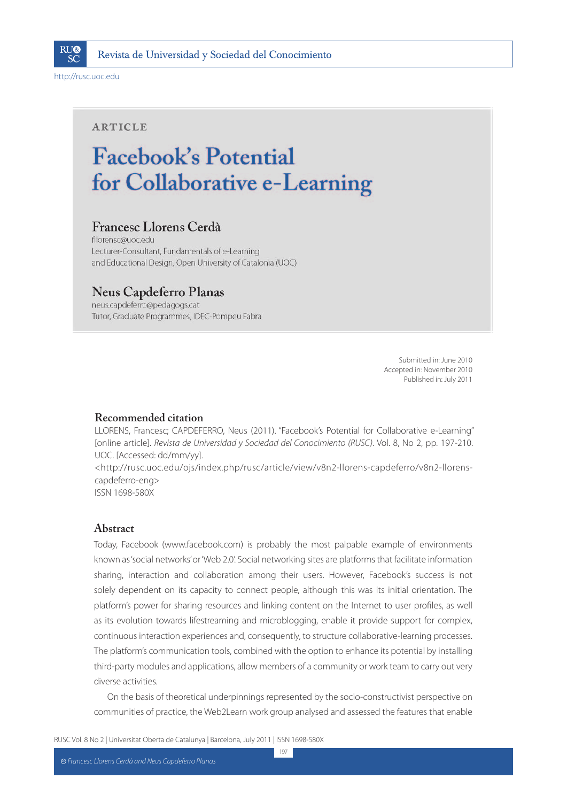

http://rusc.uoc.edu

### **ARTICLE**

# **Facebook's Potential** for Collaborative e-Learning

### Francesc Llorens Cerdà

filorensc@uoc.edu Lecturer-Consultant, Fundamentals of e-Learning and Educational Design, Open University of Catalonia (UOC)

### Neus Capdeferro Planas

neus.capdeferro@pedagogs.cat Tutor, Graduate Programmes, IDEC-Pompeu Fabra

> Submitted in: June 2010 Accepted in: November 2010 Published in: July 2011

### **Recommended citation**

LLORENS, Francesc; CAPDEFERRO, Neus (2011). "Facebook's Potential for Collaborative e-Learning" [online article]. Revista de Universidad y Sociedad del Conocimiento (RUSC). Vol. 8, No 2, pp. 197-210. UOC. [Accessed: dd/mm/yy].

<http://rusc.uoc.edu/ojs/index.php/rusc/article/view/v8n2-llorens-capdeferro/v8n2-llorenscapdeferro-eng>

ISSN 1698-580X

#### **Abstract**

Today, Facebook (www.facebook.com) is probably the most palpable example of environments known as 'social networks' or 'Web 2.0'. Social networking sites are platforms that facilitate information sharing, interaction and collaboration among their users. However, Facebook's success is not solely dependent on its capacity to connect people, although this was its initial orientation. The platform's power for sharing resources and linking content on the Internet to user profiles, as well as its evolution towards lifestreaming and microblogging, enable it provide support for complex, continuous interaction experiences and, consequently, to structure collaborative-learning processes. The platform's communication tools, combined with the option to enhance its potential by installing third-party modules and applications, allow members of a community or work team to carry out very diverse activities.

On the basis of theoretical underpinnings represented by the socio-constructivist perspective on communities of practice, the Web2Learn work group analysed and assessed the features that enable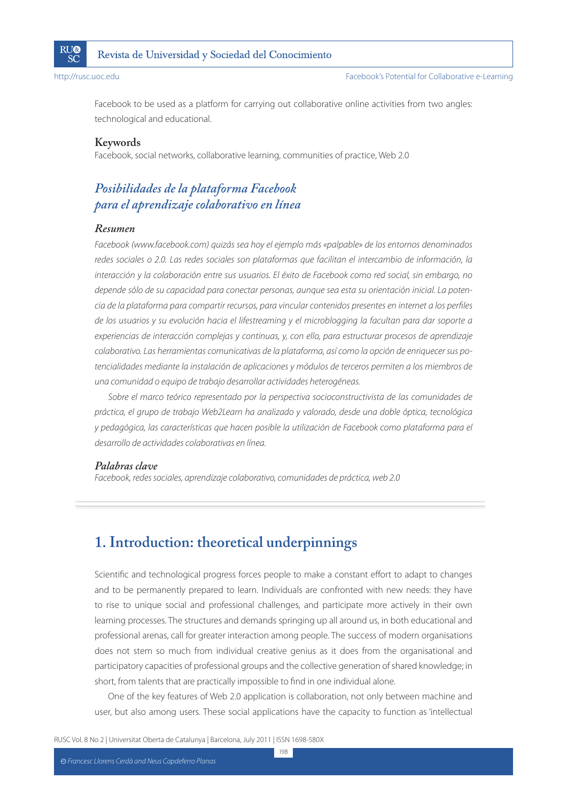

Facebook to be used as a platform for carrying out collaborative online activities from two angles: technological and educational.

### **Keywords**

Facebook, social networks, collaborative learning, communities of practice, Web 2.0

### *Posibilidades de la plataforma Facebook para el aprendizaje colaborativo en línea*

#### *Resumen*

Facebook (www.facebook.com) quizás sea hoy el ejemplo más «palpable» de los entornos denominados redes sociales o 2.0. Las redes sociales son plataformas que facilitan el intercambio de información, la interacción y la colaboración entre sus usuarios. El éxito de Facebook como red social, sin embargo, no depende sólo de su capacidad para conectar personas, aunque sea esta su orientación inicial. La potencia de la plataforma para compartir recursos, para vincular contenidos presentes en internet a los perfiles de los usuarios y su evolución hacia el lifestreaming y el microblogging la facultan para dar soporte a experiencias de interacción complejas y continuas, y, con ello, para estructurar procesos de aprendizaje colaborativo. Las herramientas comunicativas de la plataforma, así como la opción de enriquecer sus potencialidades mediante la instalación de aplicaciones y módulos de terceros permiten a los miembros de una comunidad o equipo de trabajo desarrollar actividades heterogéneas.

Sobre el marco teórico representado por la perspectiva socioconstructivista de las comunidades de práctica, el grupo de trabajo Web2Learn ha analizado y valorado, desde una doble óptica, tecnológica y pedagógica, las características que hacen posible la utilización de Facebook como plataforma para el desarrollo de actividades colaborativas en línea.

#### *Palabras clave*

Facebook, redes sociales, aprendizaje colaborativo, comunidades de práctica, web 2.0

### **1. Introduction: theoretical underpinnings**

Scientific and technological progress forces people to make a constant effort to adapt to changes and to be permanently prepared to learn. Individuals are confronted with new needs: they have to rise to unique social and professional challenges, and participate more actively in their own learning processes. The structures and demands springing up all around us, in both educational and professional arenas, call for greater interaction among people. The success of modern organisations does not stem so much from individual creative genius as it does from the organisational and participatory capacities of professional groups and the collective generation of shared knowledge; in short, from talents that are practically impossible to find in one individual alone.

One of the key features of Web 2.0 application is collaboration, not only between machine and user, but also among users. These social applications have the capacity to function as 'intellectual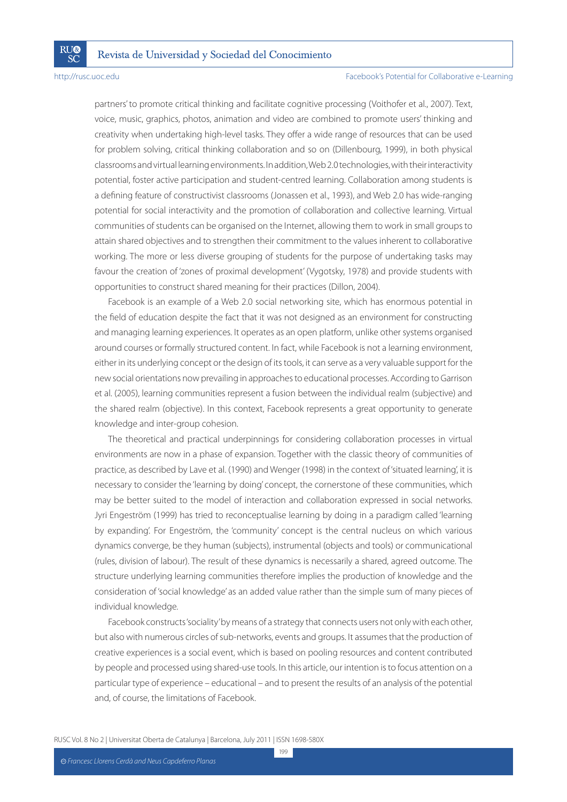**RI**I®

SČ

#### http://rusc.uoc.edu Facebook's Potential for Collaborative e-Learning

partners' to promote critical thinking and facilitate cognitive processing (Voithofer et al., 2007). Text, voice, music, graphics, photos, animation and video are combined to promote users' thinking and creativity when undertaking high-level tasks. They offer a wide range of resources that can be used for problem solving, critical thinking collaboration and so on (Dillenbourg, 1999), in both physical classrooms and virtual learning environments. In addition, Web 2.0 technologies, with their interactivity potential, foster active participation and student-centred learning. Collaboration among students is a defining feature of constructivist classrooms (Jonassen et al., 1993), and Web 2.0 has wide-ranging potential for social interactivity and the promotion of collaboration and collective learning. Virtual communities of students can be organised on the Internet, allowing them to work in small groups to attain shared objectives and to strengthen their commitment to the values inherent to collaborative working. The more or less diverse grouping of students for the purpose of undertaking tasks may favour the creation of 'zones of proximal development' (Vygotsky, 1978) and provide students with opportunities to construct shared meaning for their practices (Dillon, 2004).

Facebook is an example of a Web 2.0 social networking site, which has enormous potential in the field of education despite the fact that it was not designed as an environment for constructing and managing learning experiences. It operates as an open platform, unlike other systems organised around courses or formally structured content. In fact, while Facebook is not a learning environment, either in its underlying concept or the design of its tools, it can serve as a very valuable support for the new social orientations now prevailing in approaches to educational processes. According to Garrison et al. (2005), learning communities represent a fusion between the individual realm (subjective) and the shared realm (objective). In this context, Facebook represents a great opportunity to generate knowledge and inter-group cohesion.

The theoretical and practical underpinnings for considering collaboration processes in virtual environments are now in a phase of expansion. Together with the classic theory of communities of practice, as described by Lave et al. (1990) and Wenger (1998) in the context of 'situated learning', it is necessary to consider the 'learning by doing' concept, the cornerstone of these communities, which may be better suited to the model of interaction and collaboration expressed in social networks. Jyri Engeström (1999) has tried to reconceptualise learning by doing in a paradigm called 'learning by expanding'. For Engeström, the 'community' concept is the central nucleus on which various dynamics converge, be they human (subjects), instrumental (objects and tools) or communicational (rules, division of labour). The result of these dynamics is necessarily a shared, agreed outcome. The structure underlying learning communities therefore implies the production of knowledge and the consideration of 'social knowledge' as an added value rather than the simple sum of many pieces of individual knowledge.

Facebook constructs 'sociality' by means of a strategy that connects users not only with each other, but also with numerous circles of sub-networks, events and groups. It assumes that the production of creative experiences is a social event, which is based on pooling resources and content contributed by people and processed using shared-use tools. In this article, our intention is to focus attention on a particular type of experience – educational – and to present the results of an analysis of the potential and, of course, the limitations of Facebook.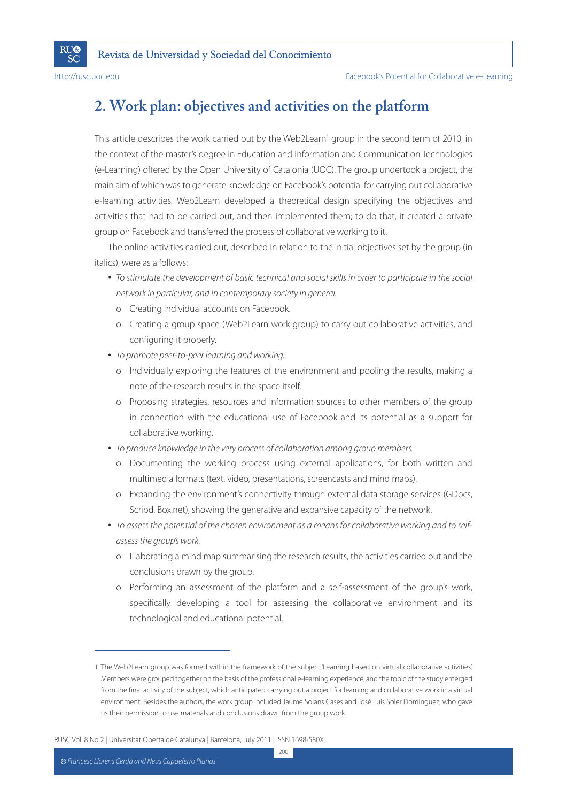

## **2. Work plan: objectives and activities on the platform**

This article describes the work carried out by the Web2Learn<sup>1</sup> group in the second term of 2010, in the context of the master's degree in Education and Information and Communication Technologies (e-Learning) offered by the Open University of Catalonia (UOC). The group undertook a project, the main aim of which was to generate knowledge on Facebook's potential for carrying out collaborative e-learning activities. Web2Learn developed a theoretical design specifying the objectives and activities that had to be carried out, and then implemented them; to do that, it created a private group on Facebook and transferred the process of collaborative working to it.

The online activities carried out, described in relation to the initial objectives set by the group (in italics), were as a follows:

- To stimulate the development of basic technical and social skills in order to participate in the social network in particular, and in contemporary society in general.
	- o Creating individual accounts on Facebook.
	- o Creating a group space (Web2Learn work group) to carry out collaborative activities, and configuring it properly.
- To promote peer-to-peer learning and working.
	- o Individually exploring the features of the environment and pooling the results, making a note of the research results in the space itself.
	- o Proposing strategies, resources and information sources to other members of the group in connection with the educational use of Facebook and its potential as a support for collaborative working.
- To produce knowledge in the very process of collaboration among group members.
	- o Documenting the working process using external applications, for both written and multimedia formats (text, video, presentations, screencasts and mind maps).
	- o Expanding the environment's connectivity through external data storage services (GDocs, Scribd, Box.net), showing the generative and expansive capacity of the network.
- To assess the potential of the chosen environment as a means for collaborative working and to selfassess the group's work.
	- o Elaborating a mind map summarising the research results, the activities carried out and the conclusions drawn by the group.
	- o Performing an assessment of the platform and a self-assessment of the group's work, specifically developing a tool for assessing the collaborative environment and its technological and educational potential.

<sup>1.</sup> The Web2Learn group was formed within the framework of the subject 'Learning based on virtual collaborative activities'. Members were grouped together on the basis of the professional e-learning experience, and the topic of the study emerged from the final activity of the subject, which anticipated carrying out a project for learning and collaborative work in a virtual environment. Besides the authors, the work group included Jaume Solans Cases and José Luis Soler Domínguez, who gave us their permission to use materials and conclusions drawn from the group work.

RUSC Vol. 8 No 2 | Universitat Oberta de Catalunya | Barcelona, July 2011 | ISSN 1698-580X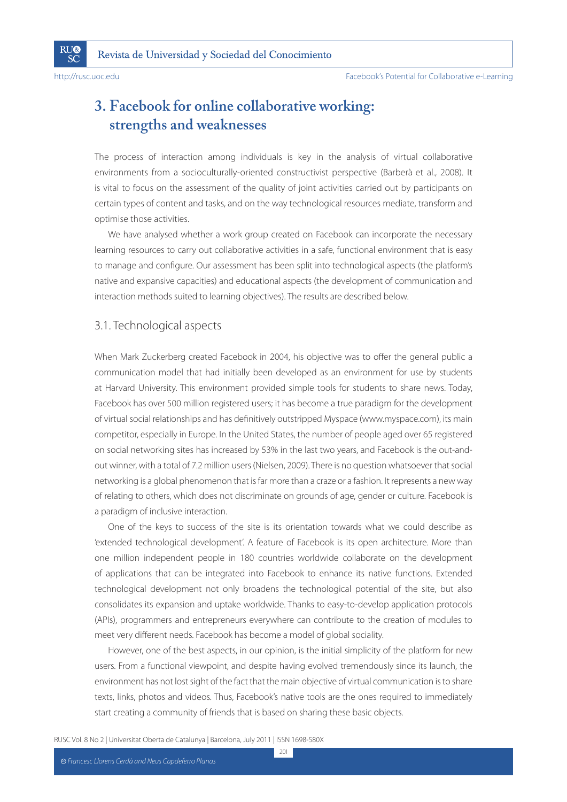**RU®** 

SČ

## **3. Facebook for online collaborative working: strengths and weaknesses**

The process of interaction among individuals is key in the analysis of virtual collaborative environments from a socioculturally-oriented constructivist perspective (Barberà et al., 2008). It is vital to focus on the assessment of the quality of joint activities carried out by participants on certain types of content and tasks, and on the way technological resources mediate, transform and optimise those activities.

We have analysed whether a work group created on Facebook can incorporate the necessary learning resources to carry out collaborative activities in a safe, functional environment that is easy to manage and configure. Our assessment has been split into technological aspects (the platform's native and expansive capacities) and educational aspects (the development of communication and interaction methods suited to learning objectives). The results are described below.

### 3.1. Technological aspects

When Mark Zuckerberg created Facebook in 2004, his objective was to offer the general public a communication model that had initially been developed as an environment for use by students at Harvard University. This environment provided simple tools for students to share news. Today, Facebook has over 500 million registered users; it has become a true paradigm for the development of virtual social relationships and has definitively outstripped Myspace (www.myspace.com), its main competitor, especially in Europe. In the United States, the number of people aged over 65 registered on social networking sites has increased by 53% in the last two years, and Facebook is the out-andout winner, with a total of 7.2 million users (Nielsen, 2009). There is no question whatsoever that social networking is a global phenomenon that is far more than a craze or a fashion. It represents a new way of relating to others, which does not discriminate on grounds of age, gender or culture. Facebook is a paradigm of inclusive interaction.

One of the keys to success of the site is its orientation towards what we could describe as 'extended technological development'. A feature of Facebook is its open architecture. More than one million independent people in 180 countries worldwide collaborate on the development of applications that can be integrated into Facebook to enhance its native functions. Extended technological development not only broadens the technological potential of the site, but also consolidates its expansion and uptake worldwide. Thanks to easy-to-develop application protocols (APIs), programmers and entrepreneurs everywhere can contribute to the creation of modules to meet very different needs. Facebook has become a model of global sociality.

However, one of the best aspects, in our opinion, is the initial simplicity of the platform for new users. From a functional viewpoint, and despite having evolved tremendously since its launch, the environment has not lost sight of the fact that the main objective of virtual communication is to share texts, links, photos and videos. Thus, Facebook's native tools are the ones required to immediately start creating a community of friends that is based on sharing these basic objects.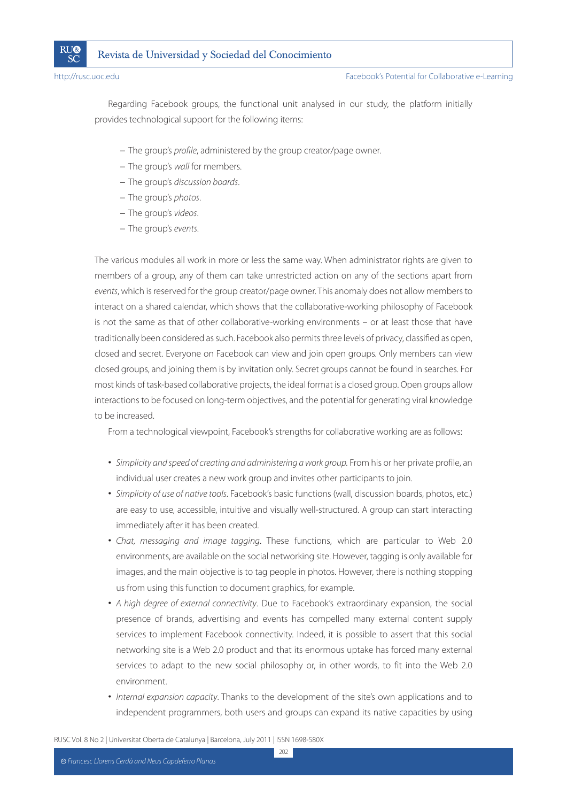

Regarding Facebook groups, the functional unit analysed in our study, the platform initially provides technological support for the following items:

- The group's profile, administered by the group creator/page owner.
- The group's wall for members.
- The group's discussion boards.
- The group's photos.
- The group's videos.
- The group's events.

The various modules all work in more or less the same way. When administrator rights are given to members of a group, any of them can take unrestricted action on any of the sections apart from events, which is reserved for the group creator/page owner. This anomaly does not allow members to interact on a shared calendar, which shows that the collaborative-working philosophy of Facebook is not the same as that of other collaborative-working environments – or at least those that have traditionally been considered as such. Facebook also permits three levels of privacy, classified as open, closed and secret. Everyone on Facebook can view and join open groups. Only members can view closed groups, and joining them is by invitation only. Secret groups cannot be found in searches. For most kinds of task-based collaborative projects, the ideal format is a closed group. Open groups allow interactions to be focused on long-term objectives, and the potential for generating viral knowledge to be increased.

From a technological viewpoint, Facebook's strengths for collaborative working are as follows:

- Simplicity and speed of creating and administering a work group. From his or her private profile, an individual user creates a new work group and invites other participants to join.
- Simplicity of use of native tools. Facebook's basic functions (wall, discussion boards, photos, etc.) are easy to use, accessible, intuitive and visually well-structured. A group can start interacting immediately after it has been created.
- Chat, messaging and image tagging. These functions, which are particular to Web 2.0 environments, are available on the social networking site. However, tagging is only available for images, and the main objective is to tag people in photos. However, there is nothing stopping us from using this function to document graphics, for example.
- A high degree of external connectivity. Due to Facebook's extraordinary expansion, the social presence of brands, advertising and events has compelled many external content supply services to implement Facebook connectivity. Indeed, it is possible to assert that this social networking site is a Web 2.0 product and that its enormous uptake has forced many external services to adapt to the new social philosophy or, in other words, to fit into the Web 2.0 environment.
- Internal expansion capacity. Thanks to the development of the site's own applications and to independent programmers, both users and groups can expand its native capacities by using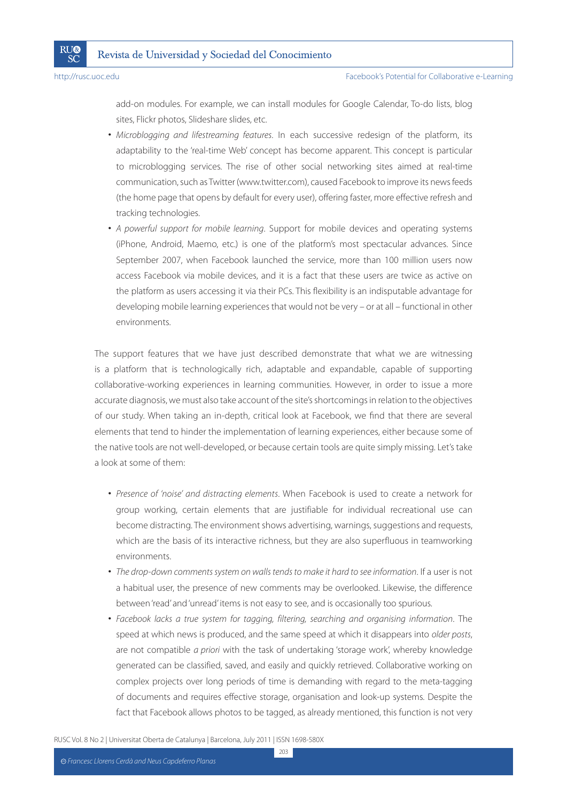

add-on modules. For example, we can install modules for Google Calendar, To-do lists, blog sites, Flickr photos, Slideshare slides, etc.

- Microblogging and lifestreaming features. In each successive redesign of the platform, its adaptability to the 'real-time Web' concept has become apparent. This concept is particular to microblogging services. The rise of other social networking sites aimed at real-time communication, such as Twitter (www.twitter.com), caused Facebook to improve its news feeds (the home page that opens by default for every user), offering faster, more effective refresh and tracking technologies.
- A powerful support for mobile learning. Support for mobile devices and operating systems (iPhone, Android, Maemo, etc.) is one of the platform's most spectacular advances. Since September 2007, when Facebook launched the service, more than 100 million users now access Facebook via mobile devices, and it is a fact that these users are twice as active on the platform as users accessing it via their PCs. This flexibility is an indisputable advantage for developing mobile learning experiences that would not be very – or at all – functional in other environments.

The support features that we have just described demonstrate that what we are witnessing is a platform that is technologically rich, adaptable and expandable, capable of supporting collaborative-working experiences in learning communities. However, in order to issue a more accurate diagnosis, we must also take account of the site's shortcomings in relation to the objectives of our study. When taking an in-depth, critical look at Facebook, we find that there are several elements that tend to hinder the implementation of learning experiences, either because some of the native tools are not well-developed, or because certain tools are quite simply missing. Let's take a look at some of them:

- Presence of 'noise' and distracting elements. When Facebook is used to create a network for group working, certain elements that are justifiable for individual recreational use can become distracting. The environment shows advertising, warnings, suggestions and requests, which are the basis of its interactive richness, but they are also superfluous in teamworking environments.
- The drop-down comments system on walls tends to make it hard to see information. If a user is not a habitual user, the presence of new comments may be overlooked. Likewise, the difference between 'read' and 'unread' items is not easy to see, and is occasionally too spurious.
- Facebook lacks a true system for tagging, filtering, searching and organising information. The speed at which news is produced, and the same speed at which it disappears into older posts, are not compatible *a priori* with the task of undertaking 'storage work', whereby knowledge generated can be classified, saved, and easily and quickly retrieved. Collaborative working on complex projects over long periods of time is demanding with regard to the meta-tagging of documents and requires effective storage, organisation and look-up systems. Despite the fact that Facebook allows photos to be tagged, as already mentioned, this function is not very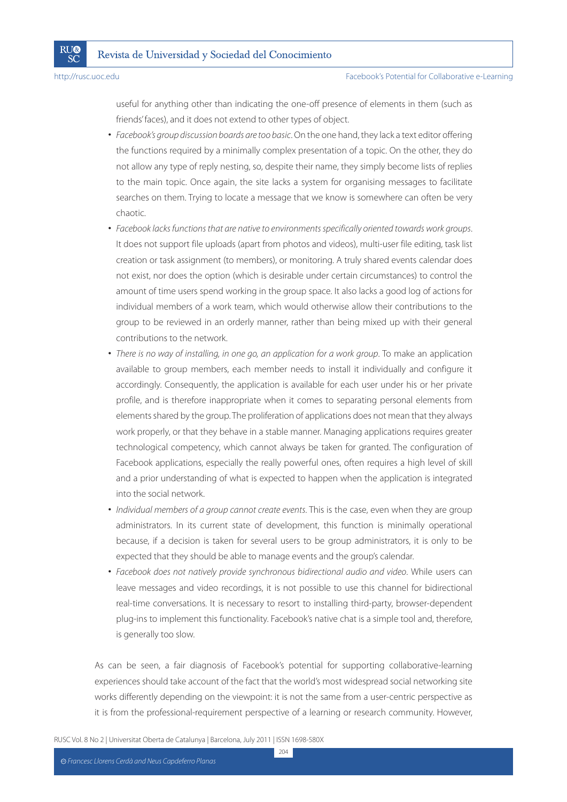

useful for anything other than indicating the one-off presence of elements in them (such as friends' faces), and it does not extend to other types of object.

- Facebook's group discussion boards are too basic. On the one hand, they lack a text editor offering the functions required by a minimally complex presentation of a topic. On the other, they do not allow any type of reply nesting, so, despite their name, they simply become lists of replies to the main topic. Once again, the site lacks a system for organising messages to facilitate searches on them. Trying to locate a message that we know is somewhere can often be very chaotic.
- Facebook lacks functions that are native to environments specifically oriented towards work groups. It does not support file uploads (apart from photos and videos), multi-user file editing, task list creation or task assignment (to members), or monitoring. A truly shared events calendar does not exist, nor does the option (which is desirable under certain circumstances) to control the amount of time users spend working in the group space. It also lacks a good log of actions for individual members of a work team, which would otherwise allow their contributions to the group to be reviewed in an orderly manner, rather than being mixed up with their general contributions to the network.
- There is no way of installing, in one go, an application for a work group. To make an application available to group members, each member needs to install it individually and configure it accordingly. Consequently, the application is available for each user under his or her private profile, and is therefore inappropriate when it comes to separating personal elements from elements shared by the group. The proliferation of applications does not mean that they always work properly, or that they behave in a stable manner. Managing applications requires greater technological competency, which cannot always be taken for granted. The configuration of Facebook applications, especially the really powerful ones, often requires a high level of skill and a prior understanding of what is expected to happen when the application is integrated into the social network.
- Individual members of a group cannot create events. This is the case, even when they are group administrators. In its current state of development, this function is minimally operational because, if a decision is taken for several users to be group administrators, it is only to be expected that they should be able to manage events and the group's calendar.
- Facebook does not natively provide synchronous bidirectional audio and video. While users can leave messages and video recordings, it is not possible to use this channel for bidirectional real-time conversations. It is necessary to resort to installing third-party, browser-dependent plug-ins to implement this functionality. Facebook's native chat is a simple tool and, therefore, is generally too slow.

As can be seen, a fair diagnosis of Facebook's potential for supporting collaborative-learning experiences should take account of the fact that the world's most widespread social networking site works differently depending on the viewpoint: it is not the same from a user-centric perspective as it is from the professional-requirement perspective of a learning or research community. However,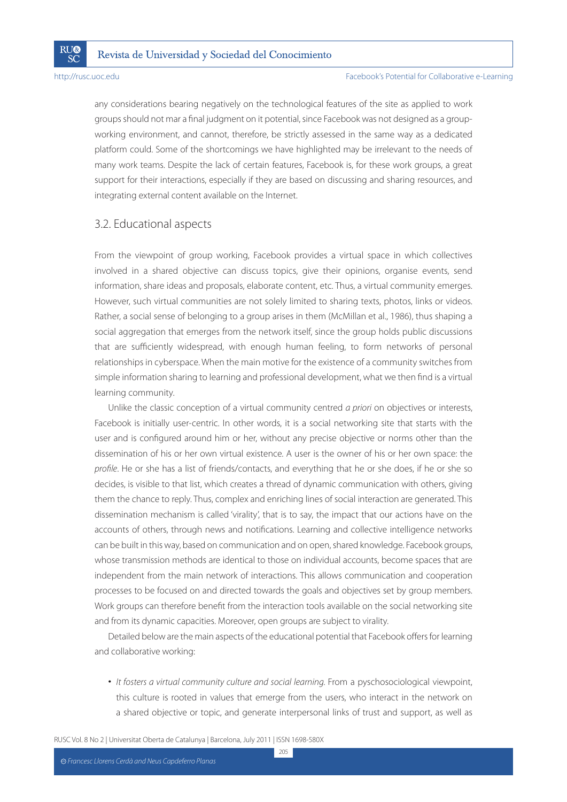#### http://rusc.uoc.edu Facebook's Potential for Collaborative e-Learning

any considerations bearing negatively on the technological features of the site as applied to work groups should not mar a final judgment on it potential, since Facebook was not designed as a groupworking environment, and cannot, therefore, be strictly assessed in the same way as a dedicated platform could. Some of the shortcomings we have highlighted may be irrelevant to the needs of many work teams. Despite the lack of certain features, Facebook is, for these work groups, a great support for their interactions, especially if they are based on discussing and sharing resources, and integrating external content available on the Internet.

### 3.2. Educational aspects

From the viewpoint of group working, Facebook provides a virtual space in which collectives involved in a shared objective can discuss topics, give their opinions, organise events, send information, share ideas and proposals, elaborate content, etc. Thus, a virtual community emerges. However, such virtual communities are not solely limited to sharing texts, photos, links or videos. Rather, a social sense of belonging to a group arises in them (McMillan et al., 1986), thus shaping a social aggregation that emerges from the network itself, since the group holds public discussions that are sufficiently widespread, with enough human feeling, to form networks of personal relationships in cyberspace. When the main motive for the existence of a community switches from simple information sharing to learning and professional development, what we then find is a virtual learning community.

Unlike the classic conception of a virtual community centred a priori on objectives or interests, Facebook is initially user-centric. In other words, it is a social networking site that starts with the user and is configured around him or her, without any precise objective or norms other than the dissemination of his or her own virtual existence. A user is the owner of his or her own space: the profile. He or she has a list of friends/contacts, and everything that he or she does, if he or she so decides, is visible to that list, which creates a thread of dynamic communication with others, giving them the chance to reply. Thus, complex and enriching lines of social interaction are generated. This dissemination mechanism is called 'virality', that is to say, the impact that our actions have on the accounts of others, through news and notifications. Learning and collective intelligence networks can be built in this way, based on communication and on open, shared knowledge. Facebook groups, whose transmission methods are identical to those on individual accounts, become spaces that are independent from the main network of interactions. This allows communication and cooperation processes to be focused on and directed towards the goals and objectives set by group members. Work groups can therefore benefit from the interaction tools available on the social networking site and from its dynamic capacities. Moreover, open groups are subject to virality.

Detailed below are the main aspects of the educational potential that Facebook offers for learning and collaborative working:

• It fosters a virtual community culture and social learning. From a pyschosociological viewpoint, this culture is rooted in values that emerge from the users, who interact in the network on a shared objective or topic, and generate interpersonal links of trust and support, as well as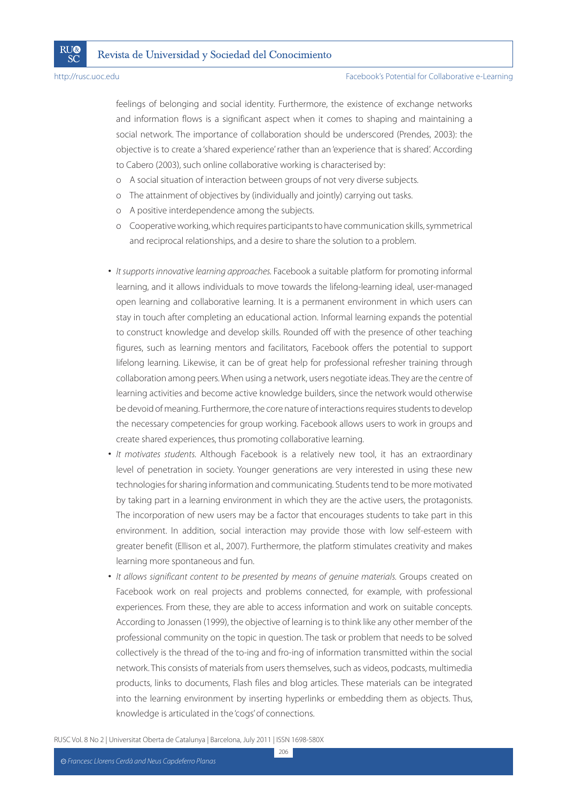feelings of belonging and social identity. Furthermore, the existence of exchange networks and information flows is a significant aspect when it comes to shaping and maintaining a social network. The importance of collaboration should be underscored (Prendes, 2003): the objective is to create a 'shared experience' rather than an 'experience that is shared'. According to Cabero (2003), such online collaborative working is characterised by:

- o A social situation of interaction between groups of not very diverse subjects.
- o The attainment of objectives by (individually and jointly) carrying out tasks.
- o A positive interdependence among the subjects.
- o Cooperative working, which requires participants to have communication skills, symmetrical and reciprocal relationships, and a desire to share the solution to a problem.
- It supports innovative learning approaches. Facebook a suitable platform for promoting informal learning, and it allows individuals to move towards the lifelong-learning ideal, user-managed open learning and collaborative learning. It is a permanent environment in which users can stay in touch after completing an educational action. Informal learning expands the potential to construct knowledge and develop skills. Rounded off with the presence of other teaching figures, such as learning mentors and facilitators, Facebook offers the potential to support lifelong learning. Likewise, it can be of great help for professional refresher training through collaboration among peers. When using a network, users negotiate ideas. They are the centre of learning activities and become active knowledge builders, since the network would otherwise be devoid of meaning. Furthermore, the core nature of interactions requires students to develop the necessary competencies for group working. Facebook allows users to work in groups and create shared experiences, thus promoting collaborative learning.
- It motivates students. Although Facebook is a relatively new tool, it has an extraordinary level of penetration in society. Younger generations are very interested in using these new technologies for sharing information and communicating. Students tend to be more motivated by taking part in a learning environment in which they are the active users, the protagonists. The incorporation of new users may be a factor that encourages students to take part in this environment. In addition, social interaction may provide those with low self-esteem with greater benefit (Ellison et al., 2007). Furthermore, the platform stimulates creativity and makes learning more spontaneous and fun.
- It allows significant content to be presented by means of genuine materials. Groups created on Facebook work on real projects and problems connected, for example, with professional experiences. From these, they are able to access information and work on suitable concepts. According to Jonassen (1999), the objective of learning is to think like any other member of the professional community on the topic in question. The task or problem that needs to be solved collectively is the thread of the to-ing and fro-ing of information transmitted within the social network. This consists of materials from users themselves, such as videos, podcasts, multimedia products, links to documents, Flash files and blog articles. These materials can be integrated into the learning environment by inserting hyperlinks or embedding them as objects. Thus, knowledge is articulated in the 'cogs' of connections.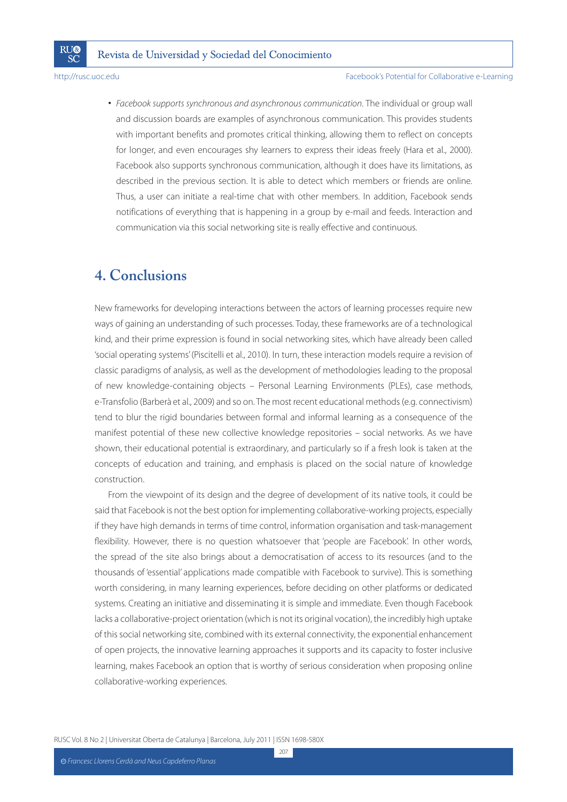**RU®** 

SČ

• Facebook supports synchronous and asynchronous communication. The individual or group wall and discussion boards are examples of asynchronous communication. This provides students with important benefits and promotes critical thinking, allowing them to reflect on concepts for longer, and even encourages shy learners to express their ideas freely (Hara et al., 2000). Facebook also supports synchronous communication, although it does have its limitations, as described in the previous section. It is able to detect which members or friends are online. Thus, a user can initiate a real-time chat with other members. In addition, Facebook sends notifications of everything that is happening in a group by e-mail and feeds. Interaction and communication via this social networking site is really effective and continuous.

### **4. Conclusions**

New frameworks for developing interactions between the actors of learning processes require new ways of gaining an understanding of such processes. Today, these frameworks are of a technological kind, and their prime expression is found in social networking sites, which have already been called 'social operating systems' (Piscitelli et al., 2010). In turn, these interaction models require a revision of classic paradigms of analysis, as well as the development of methodologies leading to the proposal of new knowledge-containing objects – Personal Learning Environments (PLEs), case methods, e-Transfolio (Barberà et al., 2009) and so on. The most recent educational methods (e.g. connectivism) tend to blur the rigid boundaries between formal and informal learning as a consequence of the manifest potential of these new collective knowledge repositories – social networks. As we have shown, their educational potential is extraordinary, and particularly so if a fresh look is taken at the concepts of education and training, and emphasis is placed on the social nature of knowledge construction.

From the viewpoint of its design and the degree of development of its native tools, it could be said that Facebook is not the best option for implementing collaborative-working projects, especially if they have high demands in terms of time control, information organisation and task-management flexibility. However, there is no question whatsoever that 'people are Facebook'. In other words, the spread of the site also brings about a democratisation of access to its resources (and to the thousands of 'essential' applications made compatible with Facebook to survive). This is something worth considering, in many learning experiences, before deciding on other platforms or dedicated systems. Creating an initiative and disseminating it is simple and immediate. Even though Facebook lacks a collaborative-project orientation (which is not its original vocation), the incredibly high uptake of this social networking site, combined with its external connectivity, the exponential enhancement of open projects, the innovative learning approaches it supports and its capacity to foster inclusive learning, makes Facebook an option that is worthy of serious consideration when proposing online collaborative-working experiences.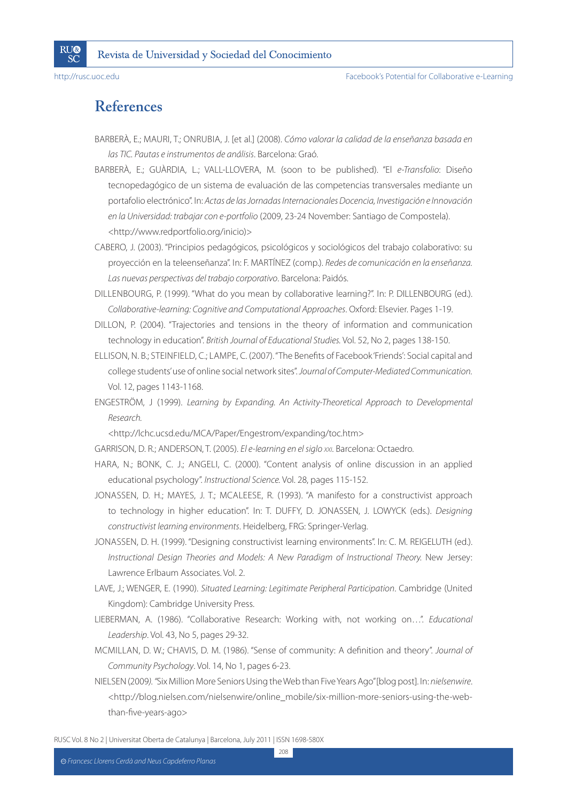**RU®** 

SČ

### **References**

- BARBERÀ, E.; MAURI, T.; ONRUBIA, J. [et al.] (2008). Cómo valorar la calidad de la enseñanza basada en las TIC. Pautas e instrumentos de análisis. Barcelona: Graó.
- BARBERÀ, E.; GUÀRDIA, L.; VALL-LLOVERA, M. (soon to be published). "El e-Transfolio: Diseño tecnopedagógico de un sistema de evaluación de las competencias transversales mediante un portafolio electrónico". In: Actas de las Jornadas Internacionales Docencia, Investigación e Innovación en la Universidad: trabajar con e-portfolio (2009, 23-24 November: Santiago de Compostela). <http://www.redportfolio.org/inicio)>
- CABERO, J. (2003). "Principios pedagógicos, psicológicos y sociológicos del trabajo colaborativo: su proyección en la teleenseñanza". In: F. MARTÍNEZ (comp.). Redes de comunicación en la enseñanza. Las nuevas perspectivas del trabajo corporativo. Barcelona: Paidós.
- DILLENBOURG, P. (1999). "What do you mean by collaborative learning?". In: P. DILLENBOURG (ed.). Collaborative-learning: Cognitive and Computational Approaches. Oxford: Elsevier. Pages 1-19.
- DILLON, P. (2004). "Trajectories and tensions in the theory of information and communication technology in education". British Journal of Educational Studies. Vol. 52, No 2, pages 138-150.
- ELLISON, N. B.; STEINFIELD, C.; LAMPE, C. (2007). "The Benefits of Facebook 'Friends': Social capital and college students' use of online social network sites". Journal of Computer-Mediated Communication. Vol. 12, pages 1143-1168.
- ENGESTRÖM, J (1999). Learning by Expanding. An Activity-Theoretical Approach to Developmental Research.

<http://lchc.ucsd.edu/MCA/Paper/Engestrom/expanding/toc.htm>

GARRISON, D. R.; ANDERSON, T. (2005). El e-learning en el siglo XXI. Barcelona: Octaedro.

- HARA, N.; BONK, C. J.; ANGELI, C. (2000). "Content analysis of online discussion in an applied educational psychology". Instructional Science. Vol. 28, pages 115-152.
- JONASSEN, D. H.; MAYES, J. T.; MCALEESE, R. (1993). "A manifesto for a constructivist approach to technology in higher education". In: T. DUFFY, D. JONASSEN, J. LOWYCK (eds.). Designing constructivist learning environments. Heidelberg, FRG: Springer-Verlag.
- JONASSEN, D. H. (1999). "Designing constructivist learning environments". In: C. M. REIGELUTH (ed.). Instructional Design Theories and Models: A New Paradigm of Instructional Theory. New Jersey: Lawrence Erlbaum Associates. Vol. 2.
- LAVE, J.; WENGER, E. (1990). Situated Learning: Legitimate Peripheral Participation. Cambridge (United Kingdom): Cambridge University Press.
- LIEBERMAN, A. (1986). "Collaborative Research: Working with, not working on…". Educational Leadership. Vol. 43, No 5, pages 29-32.
- MCMILLAN, D. W.; CHAVIS, D. M. (1986). "Sense of community: A definition and theory". Journal of Community Psychology. Vol. 14, No 1, pages 6-23.
- NIELSEN (2009). "Six Million More Seniors Using the Web than Five Years Ago" [blog post]. In: nielsenwire. <http://blog.nielsen.com/nielsenwire/online\_mobile/six-million-more-seniors-using-the-webthan-five-years-ago>

RUSC Vol. 8 No 2 | Universitat Oberta de Catalunya | Barcelona, July 2011 | ISSN 1698-580X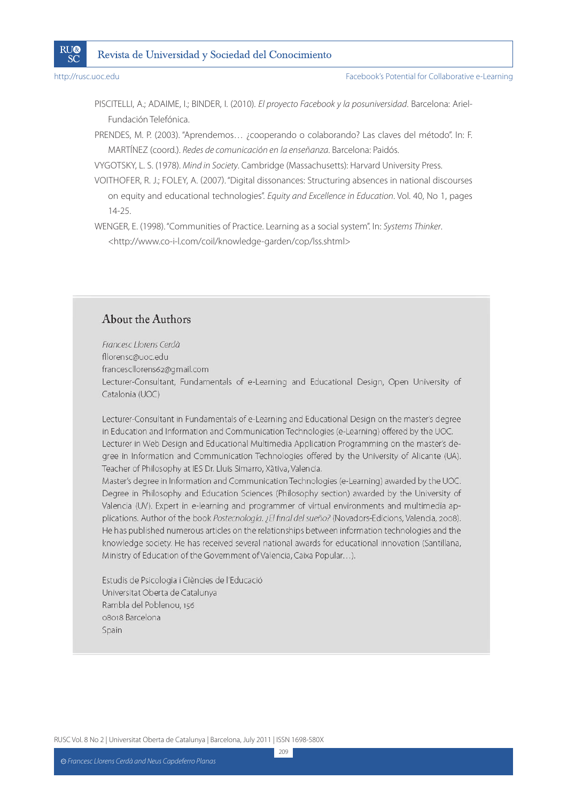

- PISCITELLI, A.; ADAIME, I.; BINDER, I. (2010). El provecto Facebook y la posuniversidad. Barcelona: Ariel-Fundación Telefónica.
- PRENDES, M. P. (2003). "Aprendemos... ¿cooperando o colaborando? Las claves del método". In: F. MARTÍNEZ (coord.). Redes de comunicación en la enseñanza. Barcelona: Paidós.

VYGOTSKY, L. S. (1978). Mind in Society. Cambridge (Massachusetts): Harvard University Press.

VOITHOFER, R. J.; FOLEY, A. 2007. "Digital dissonances: Structuring absences in national discourses on equity and educational technologies". Equity and Excellence in Education. Vol. 40, No 1, pages 14-25.

WENGER, E. (1998). "Communities of Practice. Learning as a social system". In: Systems Thinker. <http://www.co-i-l.com/coil/knowledge-garden/cop/lss.shtml>

### About the Authors

Francesc Llorens Cerdà fllorensc@uoc.edu francescllorens62@gmail.com Lecturer-Consultant, Fundamentals of e-Learning and Educational Design, Open University of Catalonia (UOC)

Lecturer-Consultant in Fundamentals of e-Learning and Educational Design on the master's degree in Education and Information and Communication Technologies (e-Learning) offered by the UOC. Lecturer in Web Design and Educational Multimedia Application Programming on the master's degree in Information and Communication Technologies offered by the University of Alicante (UA). Teacher of Philosophy at IES Dr. Lluís Simarro, Xàtiva, Valencia.

Master's degree in Information and Communication Technologies (e-Learning) awarded by the UOC. Degree in Philosophy and Education Sciences (Philosophy section) awarded by the University of Valencia (UV). Expert in e-learning and programmer of virtual environments and multimedia applications. Author of the book Postecnología. ¿El final del sueño? (Novadors-Edicions, Valencia, 2008). He has published numerous articles on the relationships between information technologies and the knowledge society. He has received several national awards for educational innovation (Santillana, Ministry of Education of the Government of Valencia, Caixa Popular...).

Estudis de Psicologia i Ciències de l'Educació Universitat Oberta de Catalunya Rambla del Poblenou, 156 08018 Barcelona Spain